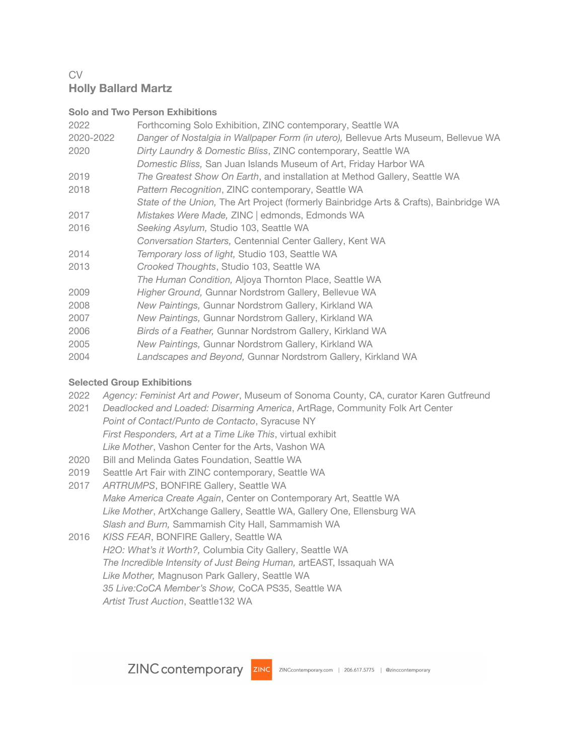# CV **Holly Ballard Martz**

#### **Solo and Two Person Exhibitions**

| 2022<br>2020-2022<br>2020 | Forthcoming Solo Exhibition, ZINC contemporary, Seattle WA<br>Danger of Nostalgia in Wallpaper Form (in utero), Bellevue Arts Museum, Bellevue WA<br>Dirty Laundry & Domestic Bliss, ZINC contemporary, Seattle WA<br>Domestic Bliss, San Juan Islands Museum of Art, Friday Harbor WA |
|---------------------------|----------------------------------------------------------------------------------------------------------------------------------------------------------------------------------------------------------------------------------------------------------------------------------------|
| 2019                      | The Greatest Show On Earth, and installation at Method Gallery, Seattle WA                                                                                                                                                                                                             |
| 2018                      | Pattern Recognition, ZINC contemporary, Seattle WA                                                                                                                                                                                                                                     |
|                           | State of the Union, The Art Project (formerly Bainbridge Arts & Crafts), Bainbridge WA                                                                                                                                                                                                 |
| 2017                      | Mistakes Were Made, ZINC   edmonds, Edmonds WA                                                                                                                                                                                                                                         |
| 2016                      | Seeking Asylum, Studio 103, Seattle WA                                                                                                                                                                                                                                                 |
|                           | Conversation Starters, Centennial Center Gallery, Kent WA                                                                                                                                                                                                                              |
| 2014                      | Temporary loss of light, Studio 103, Seattle WA                                                                                                                                                                                                                                        |
| 2013                      | Crooked Thoughts, Studio 103, Seattle WA                                                                                                                                                                                                                                               |
|                           | The Human Condition, Aljoya Thornton Place, Seattle WA                                                                                                                                                                                                                                 |
| 2009                      | Higher Ground, Gunnar Nordstrom Gallery, Bellevue WA                                                                                                                                                                                                                                   |
| 2008                      | New Paintings, Gunnar Nordstrom Gallery, Kirkland WA                                                                                                                                                                                                                                   |
| 2007                      | New Paintings, Gunnar Nordstrom Gallery, Kirkland WA                                                                                                                                                                                                                                   |
| 2006                      | Birds of a Feather, Gunnar Nordstrom Gallery, Kirkland WA                                                                                                                                                                                                                              |
| 2005                      | New Paintings, Gunnar Nordstrom Gallery, Kirkland WA                                                                                                                                                                                                                                   |
| 2004                      | Landscapes and Beyond, Gunnar Nordstrom Gallery, Kirkland WA                                                                                                                                                                                                                           |

## **Selected Group Exhibitions**

- 2022 *Agency: Feminist Art and Power*, Museum of Sonoma County, CA, curator Karen Gutfreund
- 2021 *Deadlocked and Loaded: Disarming America*, ArtRage, Community Folk Art Center *Point of Contact/Punto de Contacto*, Syracuse NY *First Responders, Art at a Time Like This*, virtual exhibit *Like Mother*, Vashon Center for the Arts, Vashon WA
- 2020 Bill and Melinda Gates Foundation, Seattle WA
- 2019 Seattle Art Fair with ZINC contemporary, Seattle WA
- 2017 *ARTRUMPS*, BONFIRE Gallery, Seattle WA *Make America Create Again*, Center on Contemporary Art, Seattle WA *Like Mother*, ArtXchange Gallery, Seattle WA, Gallery One, Ellensburg WA *Slash and Burn,* Sammamish City Hall, Sammamish WA
- 2016 *KISS FEAR*, BONFIRE Gallery, Seattle WA *H2O: What's it Worth?,* Columbia City Gallery, Seattle WA *The Incredible Intensity of Just Being Human,* artEAST, Issaquah WA *Like Mother,* Magnuson Park Gallery, Seattle WA *35 Live:CoCA Member's Show,* CoCA PS35, Seattle WA *Artist Trust Auction*, Seattle132 WA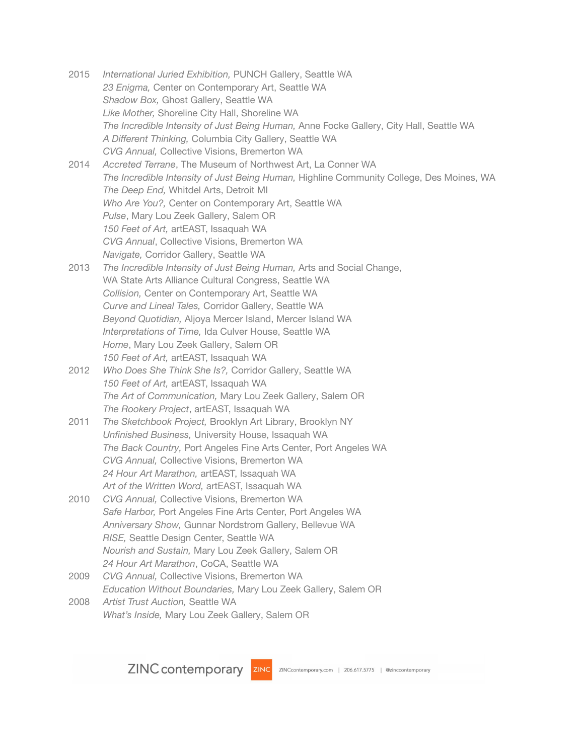- 2015 *International Juried Exhibition,* PUNCH Gallery, Seattle WA *23 Enigma,* Center on Contemporary Art, Seattle WA *Shadow Box,* Ghost Gallery, Seattle WA *Like Mother,* Shoreline City Hall, Shoreline WA *The Incredible Intensity of Just Being Human,* Anne Focke Gallery, City Hall, Seattle WA *A Different Thinking,* Columbia City Gallery, Seattle WA *CVG Annual,* Collective Visions, Bremerton WA 2014 *Accreted Terrane*, The Museum of Northwest Art, La Conner WA *The Incredible Intensity of Just Being Human,* Highline Community College, Des Moines, WA
- *The Deep End,* Whitdel Arts, Detroit MI *Who Are You?,* Center on Contemporary Art, Seattle WA *Pulse*, Mary Lou Zeek Gallery, Salem OR *150 Feet of Art,* artEAST, Issaquah WA *CVG Annual*, Collective Visions, Bremerton WA *Navigate,* Corridor Gallery, Seattle WA
- 2013 *The Incredible Intensity of Just Being Human,* Arts and Social Change, WA State Arts Alliance Cultural Congress, Seattle WA *Collision,* Center on Contemporary Art, Seattle WA *Curve and Lineal Tales,* Corridor Gallery, Seattle WA *Beyond Quotidian,* Aljoya Mercer Island, Mercer Island WA *Interpretations of Time,* Ida Culver House, Seattle WA *Home*, Mary Lou Zeek Gallery, Salem OR *150 Feet of Art,* artEAST, Issaquah WA
- 2012 *Who Does She Think She Is?,* Corridor Gallery, Seattle WA *150 Feet of Art,* artEAST, Issaquah WA *The Art of Communication,* Mary Lou Zeek Gallery, Salem OR *The Rookery Project*, artEAST, Issaquah WA
- 2011 *The Sketchbook Project,* Brooklyn Art Library, Brooklyn NY *Unfinished Business,* University House, Issaquah WA *The Back Country,* Port Angeles Fine Arts Center, Port Angeles WA *CVG Annual,* Collective Visions, Bremerton WA *24 Hour Art Marathon,* artEAST, Issaquah WA *Art of the Written Word,* artEAST, Issaquah WA
- 2010 *CVG Annual,* Collective Visions, Bremerton WA *Safe Harbor,* Port Angeles Fine Arts Center, Port Angeles WA *Anniversary Show,* Gunnar Nordstrom Gallery, Bellevue WA *RISE,* Seattle Design Center, Seattle WA *Nourish and Sustain,* Mary Lou Zeek Gallery, Salem OR *24 Hour Art Marathon*, CoCA, Seattle WA
- 2009 *CVG Annual,* Collective Visions, Bremerton WA *Education Without Boundaries,* Mary Lou Zeek Gallery, Salem OR
- 2008 *Artist Trust Auction,* Seattle WA *What's Inside,* Mary Lou Zeek Gallery, Salem OR

ZINC contemporary zinc ZINC ZINCcontemporary.com | 206.617.5775 | @zinccontemporary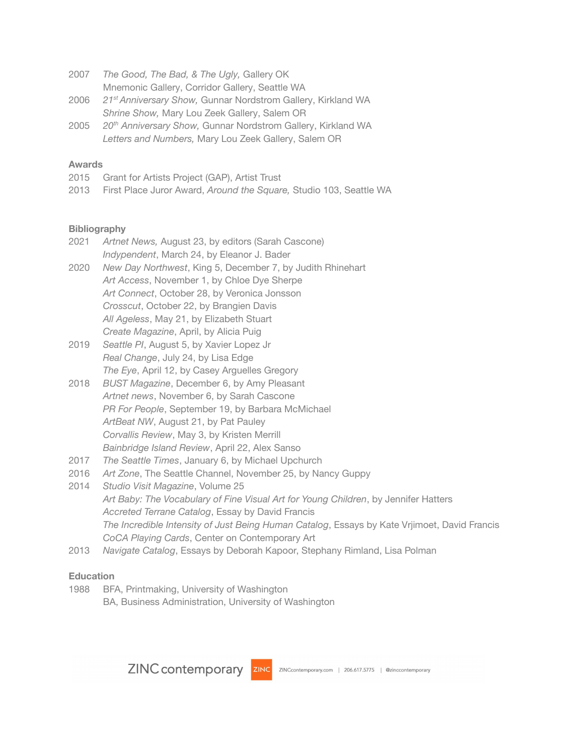2007 *The Good, The Bad, & The Ugly,* Gallery OK Mnemonic Gallery, Corridor Gallery, Seattle WA

- 2006 *21 st Anniversary Show,* Gunnar Nordstrom Gallery, Kirkland WA *Shrine Show,* Mary Lou Zeek Gallery, Salem OR
- 2005 *20 th Anniversary Show,* Gunnar Nordstrom Gallery, Kirkland WA *Letters and Numbers,* Mary Lou Zeek Gallery, Salem OR

## **Awards**

- 2015 Grant for Artists Project (GAP), Artist Trust
- 2013 First Place Juror Award, *Around the Square,* Studio 103, Seattle WA

#### **Bibliography**

- 2021 *Artnet News,* August 23, by editors (Sarah Cascone) *Indypendent*, March 24, by Eleanor J. Bader
- 2020 *New Day Northwest*, King 5, December 7, by Judith Rhinehart *Art Access*, November 1, by Chloe Dye Sherpe *Art Connect*, October 28, by Veronica Jonsson *Crosscut*, October 22, by Brangien Davis *All Ageless*, May 21, by Elizabeth Stuart *Create Magazine*, April, by Alicia Puig
- 2019 *Seattle PI*, August 5, by Xavier Lopez Jr *Real Change*, July 24, by Lisa Edge *The Eye*, April 12, by Casey Arguelles Gregory
- 2018 *BUST Magazine*, December 6, by Amy Pleasant *Artnet news*, November 6, by Sarah Cascone *PR For People*, September 19, by Barbara McMichael *ArtBeat NW*, August 21, by Pat Pauley *Corvallis Review*, May 3, by Kristen Merrill *Bainbridge Island Review*, April 22, Alex Sanso
- 2017 *The Seattle Times*, January 6, by Michael Upchurch
- 2016 *Art Zone*, The Seattle Channel, November 25, by Nancy Guppy
- 2014 *Studio Visit Magazine*, Volume 25 *Art Baby: The Vocabulary of Fine Visual Art for Young Children*, by Jennifer Hatters *Accreted Terrane Catalog*, Essay by David Francis *The Incredible Intensity of Just Being Human Catalog*, Essays by Kate Vrjimoet, David Francis *CoCA Playing Cards*, Center on Contemporary Art
- 2013 *Navigate Catalog*, Essays by Deborah Kapoor, Stephany Rimland, Lisa Polman

## **Education**

1988 BFA, Printmaking, University of Washington BA, Business Administration, University of Washington